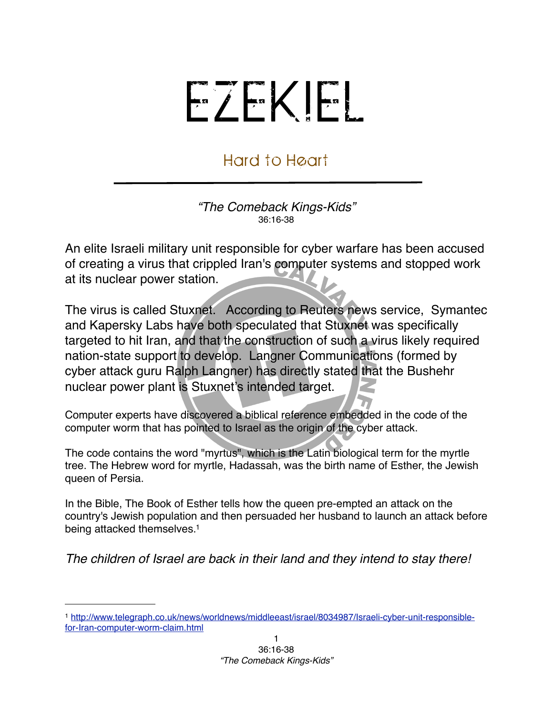## EZEKIEL

## Hard to Heart

*"The Comeback Kings-Kids"* 36:16-38

An elite Israeli military unit responsible for cyber warfare has been accused of creating a virus that crippled Iran's computer systems and stopped work at its nuclear power station.

The virus is called Stuxnet. According to Reuters news service, Symantec and Kapersky Labs have both speculated that Stuxnet was specifically targeted to hit Iran, and that the construction of such a virus likely required nation-state support to develop. Langner Communications (formed by cyber attack guru Ralph Langner) has directly stated that the Bushehr nuclear power plant is Stuxnet's intended target.

Computer experts have discovered a biblical reference embedded in the code of the computer worm that has pointed to Israel as the origin of the cyber attack.

The code contains the word "myrtus", which is the Latin biological term for the myrtle tree. The Hebrew word for myrtle, Hadassah, was the birth name of Esther, the Jewish queen of Persia.

In the Bible, The Book of Esther tells how the queen pre-empted an attack on the country's Jewish population and then persuaded her husband to launch an attack before being attacked themselves[.1](#page-0-0)

*The children of Israel are back in their land and they intend to stay there!*

<span id="page-0-0"></span><sup>1</sup> [http://www.telegraph.co.uk/news/worldnews/middleeast/israel/8034987/Israeli-cyber-unit-responsible](http://www.telegraph.co.uk/news/worldnews/middleeast/israel/8034987/Israeli-cyber-unit-responsible-for-Iran-computer-worm-claim.html)[for-Iran-computer-worm-claim.html](http://www.telegraph.co.uk/news/worldnews/middleeast/israel/8034987/Israeli-cyber-unit-responsible-for-Iran-computer-worm-claim.html)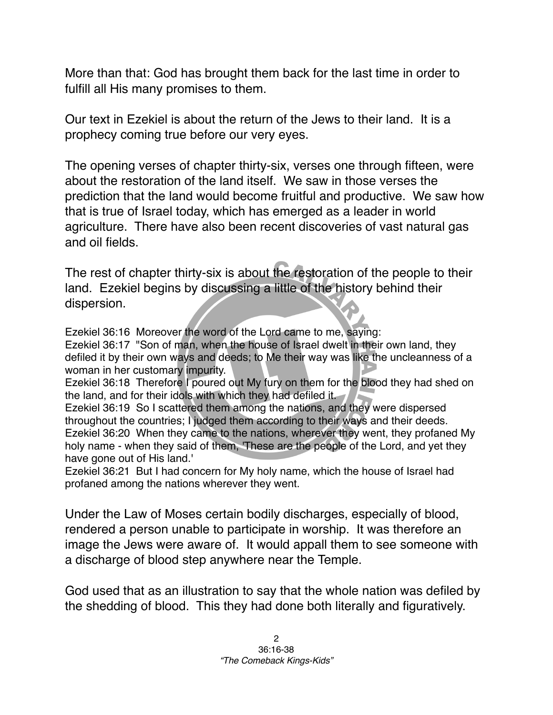More than that: God has brought them back for the last time in order to fulfill all His many promises to them.

Our text in Ezekiel is about the return of the Jews to their land. It is a prophecy coming true before our very eyes.

The opening verses of chapter thirty-six, verses one through fifteen, were about the restoration of the land itself. We saw in those verses the prediction that the land would become fruitful and productive. We saw how that is true of Israel today, which has emerged as a leader in world agriculture. There have also been recent discoveries of vast natural gas and oil fields.

The rest of chapter thirty-six is about the restoration of the people to their land. Ezekiel begins by discussing a little of the history behind their dispersion.

Ezekiel 36:16 Moreover the word of the Lord came to me, saying: Ezekiel 36:17 "Son of man, when the house of Israel dwelt in their own land, they defiled it by their own ways and deeds; to Me their way was like the uncleanness of a woman in her customary impurity. Ezekiel 36:18 Therefore I poured out My fury on them for the blood they had shed on the land, and for their idols with which they had defiled it. Ezekiel 36:19 So I scattered them among the nations, and they were dispersed throughout the countries; I judged them according to their ways and their deeds. Ezekiel 36:20 When they came to the nations, wherever they went, they profaned My holy name - when they said of them, 'These are the people of the Lord, and yet they have gone out of His land.'

Ezekiel 36:21 But I had concern for My holy name, which the house of Israel had profaned among the nations wherever they went.

Under the Law of Moses certain bodily discharges, especially of blood, rendered a person unable to participate in worship. It was therefore an image the Jews were aware of. It would appall them to see someone with a discharge of blood step anywhere near the Temple.

God used that as an illustration to say that the whole nation was defiled by the shedding of blood. This they had done both literally and figuratively.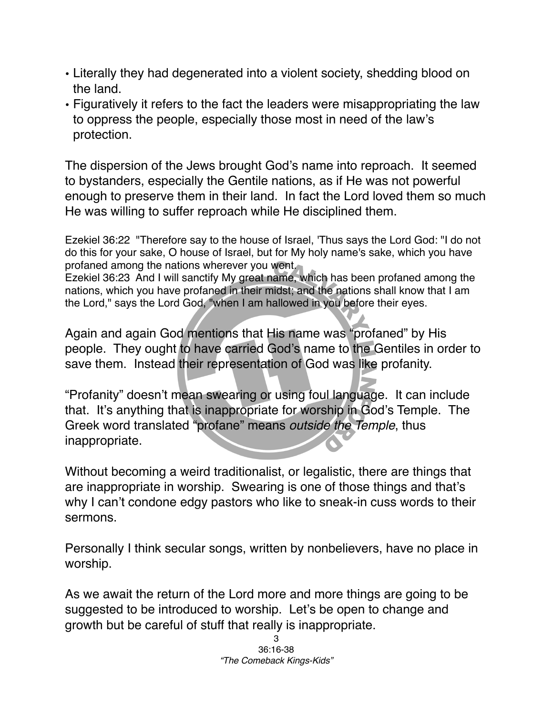- Literally they had degenerated into a violent society, shedding blood on the land.
- Figuratively it refers to the fact the leaders were misappropriating the law to oppress the people, especially those most in need of the law's protection.

The dispersion of the Jews brought God's name into reproach. It seemed to bystanders, especially the Gentile nations, as if He was not powerful enough to preserve them in their land. In fact the Lord loved them so much He was willing to suffer reproach while He disciplined them.

Ezekiel 36:22 "Therefore say to the house of Israel, 'Thus says the Lord God: "I do not do this for your sake, O house of Israel, but for My holy name's sake, which you have profaned among the nations wherever you went.

Ezekiel 36:23 And I will sanctify My great name, which has been profaned among the nations, which you have profaned in their midst; and the nations shall know that I am the Lord," says the Lord God, "when I am hallowed in you before their eyes.

Again and again God mentions that His name was "profaned" by His people. They ought to have carried God's name to the Gentiles in order to save them. Instead their representation of God was like profanity.

"Profanity" doesn't mean swearing or using foul language. It can include that. It's anything that is inappropriate for worship in God's Temple. The Greek word translated "profane" means *outside the Temple*, thus inappropriate.

Without becoming a weird traditionalist, or legalistic, there are things that are inappropriate in worship. Swearing is one of those things and that's why I can't condone edgy pastors who like to sneak-in cuss words to their sermons.

Personally I think secular songs, written by nonbelievers, have no place in worship.

As we await the return of the Lord more and more things are going to be suggested to be introduced to worship. Let's be open to change and growth but be careful of stuff that really is inappropriate.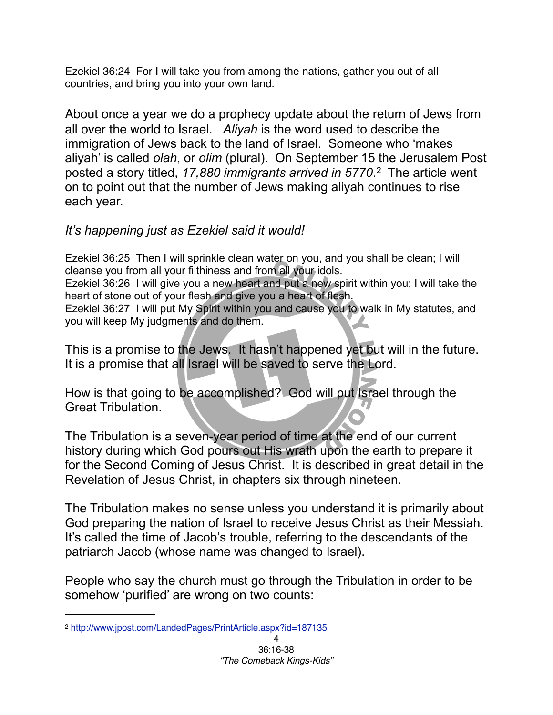Ezekiel 36:24 For I will take you from among the nations, gather you out of all countries, and bring you into your own land.

About once a year we do a prophecy update about the return of Jews from all over the world to Israel. *Aliyah* is the word used to describe the immigration of Jews back to the land of Israel. Someone who 'makes aliyah' is called *olah*, or *olim* (plural). On September 15 the Jerusalem Post posted a story titled, *17,880 immigrants arrived in 5770*. [2](#page-3-0) The article went on to point out that the number of Jews making aliyah continues to rise each year.

## *It's happening just as Ezekiel said it would!*

Ezekiel 36:25 Then I will sprinkle clean water on you, and you shall be clean; I will cleanse you from all your filthiness and from all your idols.

Ezekiel 36:26 I will give you a new heart and put a new spirit within you; I will take the heart of stone out of your flesh and give you a heart of flesh.

Ezekiel 36:27 I will put My Spirit within you and cause you to walk in My statutes, and you will keep My judgments and do them.

This is a promise to the Jews. It hasn't happened yet but will in the future. It is a promise that all Israel will be saved to serve the Lord.

How is that going to be accomplished? God will put Israel through the Great Tribulation.

The Tribulation is a seven-year period of time at the end of our current history during which God pours out His wrath upon the earth to prepare it for the Second Coming of Jesus Christ. It is described in great detail in the Revelation of Jesus Christ, in chapters six through nineteen.

The Tribulation makes no sense unless you understand it is primarily about God preparing the nation of Israel to receive Jesus Christ as their Messiah. It's called the time of Jacob's trouble, referring to the descendants of the patriarch Jacob (whose name was changed to Israel).

People who say the church must go through the Tribulation in order to be somehow 'purified' are wrong on two counts:

<span id="page-3-0"></span><sup>2</sup> <http://www.jpost.com/LandedPages/PrintArticle.aspx?id=187135>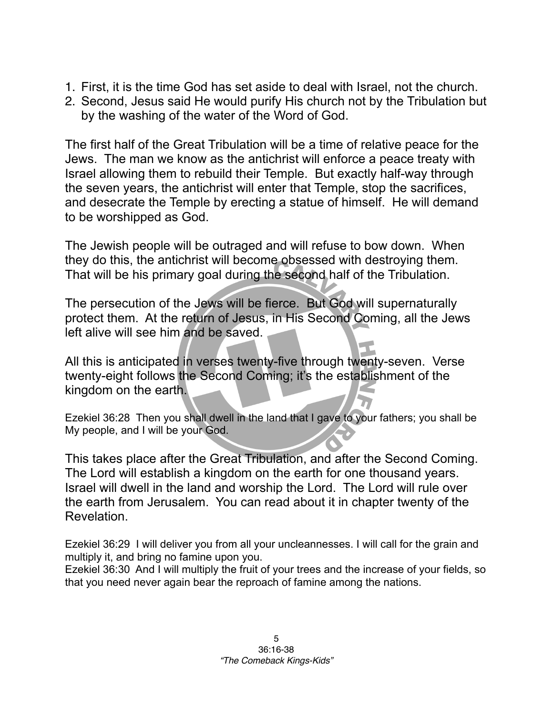- 1. First, it is the time God has set aside to deal with Israel, not the church.
- 2. Second, Jesus said He would purify His church not by the Tribulation but by the washing of the water of the Word of God.

The first half of the Great Tribulation will be a time of relative peace for the Jews. The man we know as the antichrist will enforce a peace treaty with Israel allowing them to rebuild their Temple. But exactly half-way through the seven years, the antichrist will enter that Temple, stop the sacrifices, and desecrate the Temple by erecting a statue of himself. He will demand to be worshipped as God.

The Jewish people will be outraged and will refuse to bow down. When they do this, the antichrist will become obsessed with destroying them. That will be his primary goal during the second half of the Tribulation.

The persecution of the Jews will be fierce. But God will supernaturally protect them. At the return of Jesus, in His Second Coming, all the Jews left alive will see him and be saved.

All this is anticipated in verses twenty-five through twenty-seven. Verse twenty-eight follows the Second Coming; it's the establishment of the kingdom on the earth.

Ezekiel 36:28 Then you shall dwell in the land that I gave to your fathers; you shall be My people, and I will be your God.

This takes place after the Great Tribulation, and after the Second Coming. The Lord will establish a kingdom on the earth for one thousand years. Israel will dwell in the land and worship the Lord. The Lord will rule over the earth from Jerusalem. You can read about it in chapter twenty of the Revelation.

Ezekiel 36:29 I will deliver you from all your uncleannesses. I will call for the grain and multiply it, and bring no famine upon you.

Ezekiel 36:30 And I will multiply the fruit of your trees and the increase of your fields, so that you need never again bear the reproach of famine among the nations.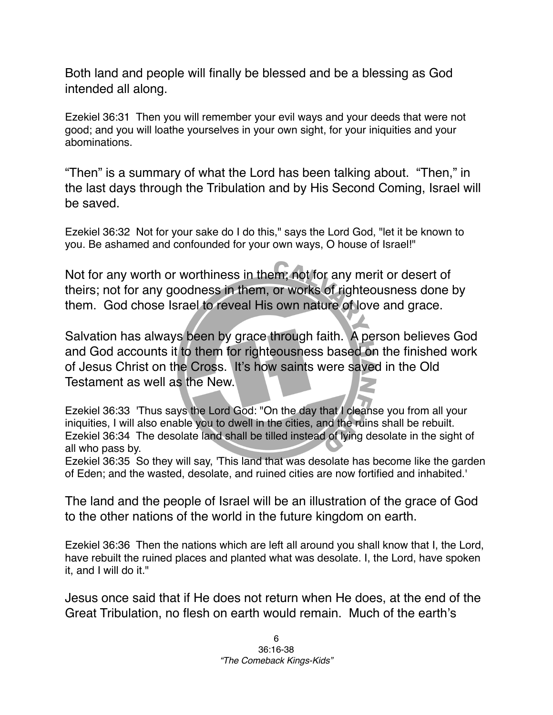Both land and people will finally be blessed and be a blessing as God intended all along.

Ezekiel 36:31 Then you will remember your evil ways and your deeds that were not good; and you will loathe yourselves in your own sight, for your iniquities and your abominations.

"Then" is a summary of what the Lord has been talking about. "Then," in the last days through the Tribulation and by His Second Coming, Israel will be saved.

Ezekiel 36:32 Not for your sake do I do this," says the Lord God, "let it be known to you. Be ashamed and confounded for your own ways, O house of Israel!"

Not for any worth or worthiness in them; not for any merit or desert of theirs; not for any goodness in them, or works of righteousness done by them. God chose Israel to reveal His own nature of love and grace.

Salvation has always been by grace through faith. A person believes God and God accounts it to them for righteousness based on the finished work of Jesus Christ on the Cross. It's how saints were saved in the Old Testament as well as the New.

Ezekiel 36:33 'Thus says the Lord God: "On the day that I cleanse you from all your iniquities, I will also enable you to dwell in the cities, and the ruins shall be rebuilt. Ezekiel 36:34 The desolate land shall be tilled instead of lying desolate in the sight of all who pass by.

Ezekiel 36:35 So they will say, 'This land that was desolate has become like the garden of Eden; and the wasted, desolate, and ruined cities are now fortified and inhabited.'

The land and the people of Israel will be an illustration of the grace of God to the other nations of the world in the future kingdom on earth.

Ezekiel 36:36 Then the nations which are left all around you shall know that I, the Lord, have rebuilt the ruined places and planted what was desolate. I, the Lord, have spoken it, and I will do it."

Jesus once said that if He does not return when He does, at the end of the Great Tribulation, no flesh on earth would remain. Much of the earth's